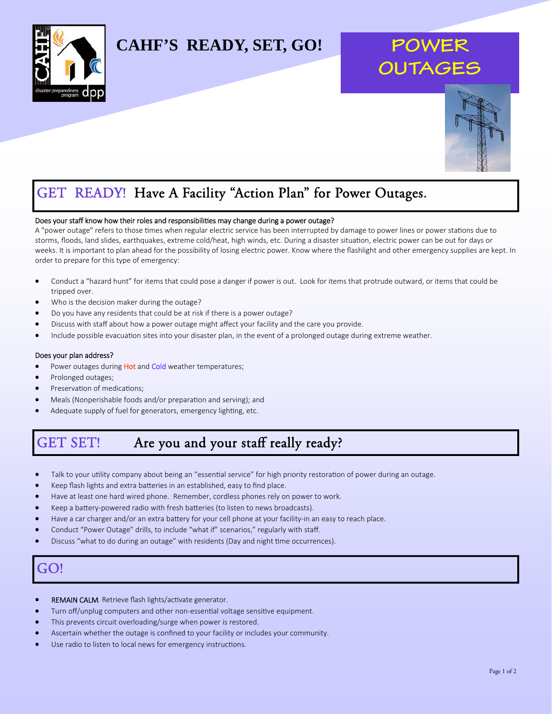

## **CAHF'S READY, SET, GO!**

# **POWE OUTAGE**



## GET READY! Have A Facility "Action Plan" for Power Outages.

#### Does your staff know how their roles and responsibilities may change during a power outage?

A "power outage" refers to those times when regular electric service has been interrupted by damage to power lines or power stations due to storms, floods, land slides, earthquakes, extreme cold/heat, high winds, etc. During a disaster situation, electric power can be out for days or weeks. It is important to plan ahead for the possibility of losing electric power. Know where the flashlight and other emergency supplies are kept. In order to prepare for this type of emergency:

- Conduct a "hazard hunt" for items that could pose a danger if power is out. Look for items that protrude outward, or items that could be tripped over.
- Who is the decision maker during the outage?
- Do you have any residents that could be at risk if there is a power outage?
- Discuss with staff about how a power outage might affect your facility and the care you provide.
- Include possible evacuation sites into your disaster plan, in the event of a prolonged outage during extreme weather.

#### Does your plan address?

- Power outages during Hot and Cold weather temperatures;
- Prolonged outages;
- Preservation of medications;
- Meals (Nonperishable foods and/or preparation and serving); and
- Adequate supply of fuel for generators, emergency lighting, etc.

### GET SET! Are you and your staff really ready?

- Talk to your utility company about being an "essential service" for high priority restoration of power during an outage.
- Keep flash lights and extra batteries in an established, easy to find place.
- Have at least one hard wired phone. Remember, cordless phones rely on power to work.
- Keep a battery-powered radio with fresh batteries (to listen to news broadcasts).
- Have a car charger and/or an extra battery for your cell phone at your facility-in an easy to reach place.
- Conduct "Power Outage" drills, to include "what if" scenarios," regularly with staff.
- Discuss "what to do during an outage" with residents (Day and night time occurrences).

### GO!

- REMAIN CALM. Retrieve flash lights/activate generator.
- Turn off/unplug computers and other non-essential voltage sensitive equipment.
- This prevents circuit overloading/surge when power is restored.
- Ascertain whether the outage is confined to your facility or includes your community.
- Use radio to listen to local news for emergency instructions.